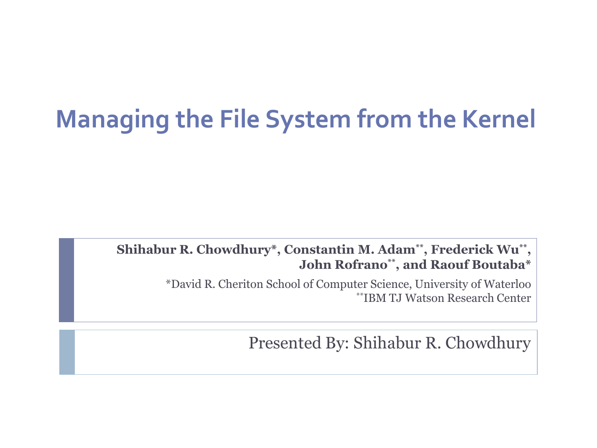# **Managing the File System from the Kernel**

#### **Shihabur R. Chowdhury\*, Constantin M. Adam\*\*, Frederick Wu\*\* , John Rofrano\*\*, and Raouf Boutaba\***

\*David R. Cheriton School of Computer Science, University of Waterloo \*\*IBM TJ Watson Research Center

Presented By: Shihabur R. Chowdhury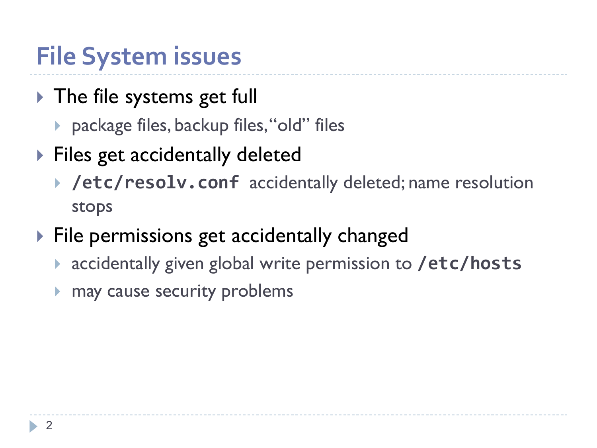# **File System issues**

- The file systems get full
	- ▶ package files, backup files, "old" files
- ▶ Files get accidentally deleted
	- **/etc/resolv.conf** accidentally deleted; name resolution stops
- $\triangleright$  File permissions get accidentally changed
	- accidentally given global write permission to **/etc/hosts**
	- **If** may cause security problems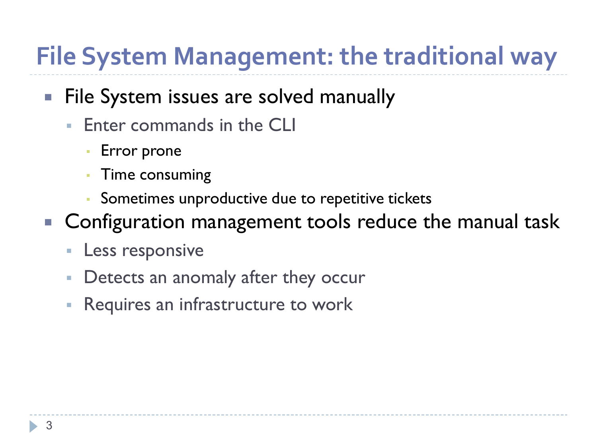# **File System Management: the traditional way**

#### **File System issues are solved manually**

- **Enter commands in the CLI** 
	- **Error prone**
	- **Time consuming**
	- Sometimes unproductive due to repetitive tickets
- Configuration management tools reduce the manual task
	- **Less responsive**
	- **Detects an anomaly after they occur**
	- **-** Requires an infrastructure to work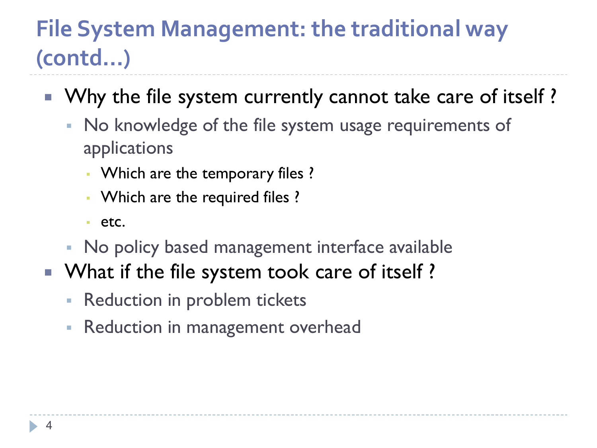#### **File System Management: the traditional way (contd…)**

- Why the file system currently cannot take care of itself?
	- No knowledge of the file system usage requirements of applications
		- Which are the temporary files ?
		- Which are the required files ?
		- etc.
	- No policy based management interface available
- What if the file system took care of itself?
	- **Reduction in problem tickets**
	- **Reduction in management overhead**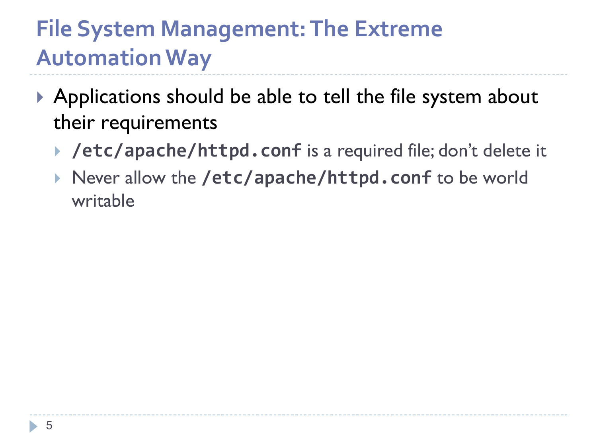#### **File System Management: The Extreme Automation Way**

- ▶ Applications should be able to tell the file system about their requirements
	- **/etc/apache/httpd.conf** is a required file; don't delete it
	- ▶ Never allow the /etc/apache/httpd.conf to be world writable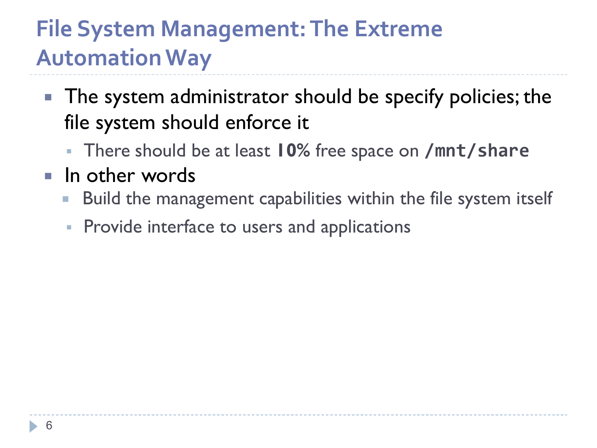#### **File System Management: The Extreme Automation Way**

- The system administrator should be specify policies; the file system should enforce it
	- There should be at least **10%** free space on **/mnt/share**
- $\blacksquare$  In other words
	- **Build the management capabilities within the file system itself**
	- **Provide interface to users and applications**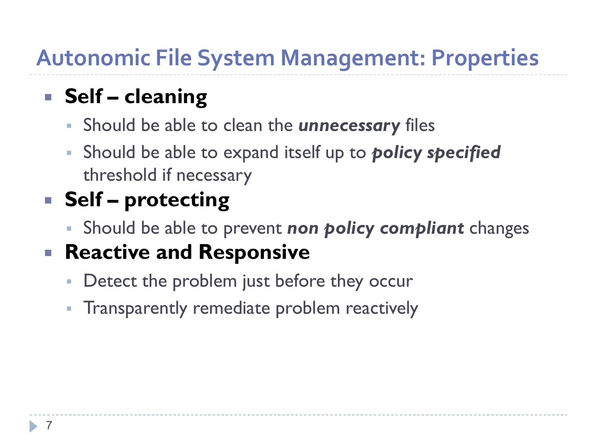#### **Autonomic File System Management: Properties**

#### **Self – cleaning**

- Should be able to clean the *unnecessary* files
- Should be able to expand itself up to *policy specified*  threshold if necessary

#### **Self – protecting**

Should be able to prevent *non policy compliant* changes

#### **Reactive and Responsive**

- **Detect the problem just before they occur**
- **Transparently remediate problem reactively**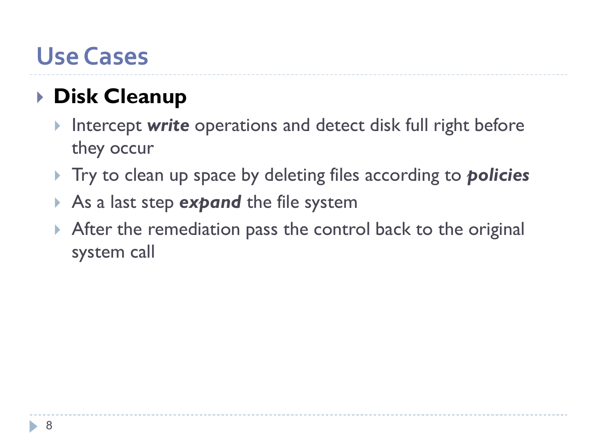#### **Use Cases**

#### **Disk Cleanup**

- Intercept *write* operations and detect disk full right before they occur
- Try to clean up space by deleting files according to *policies*
- As a last step *expand* the file system
- After the remediation pass the control back to the original system call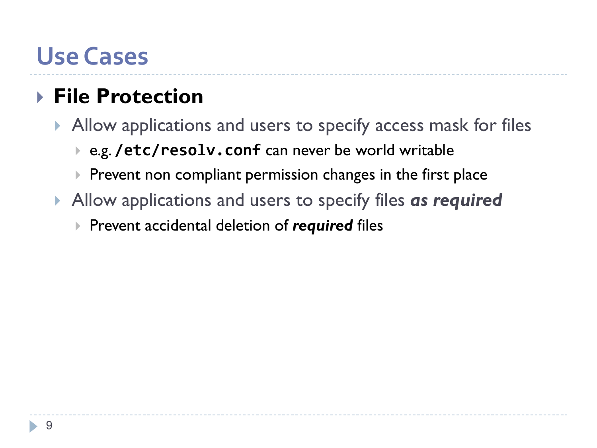#### **Use Cases**

#### **File Protection**

- Allow applications and users to specify access mask for files
	- e.g. **/etc/resolv.conf** can never be world writable
	- $\blacktriangleright$  Prevent non compliant permission changes in the first place
- Allow applications and users to specify files *as required*
	- Prevent accidental deletion of *required* files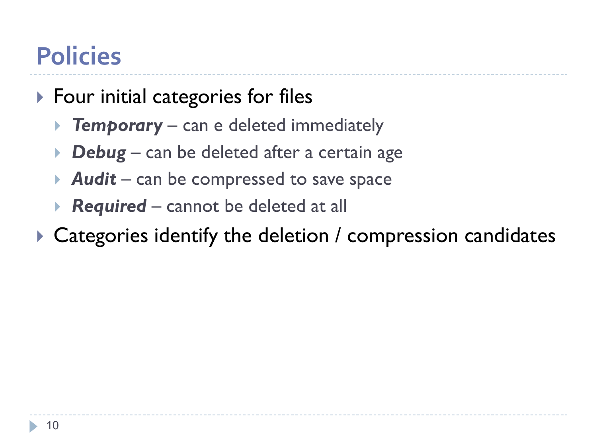# **Policies**

- ▶ Four initial categories for files
	- **Femporary** can e deleted immediately
	- *▶* **Debug** can be deleted after a certain age
	- *Audit* can be compressed to save space
	- *Required* cannot be deleted at all
- ▶ Categories identify the deletion / compression candidates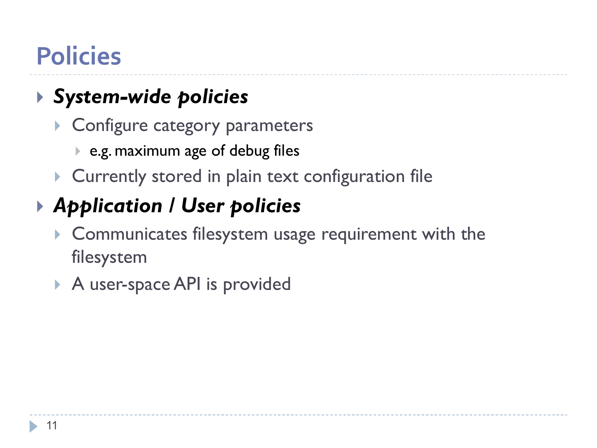# **Policies**

#### *System-wide policies*

- ▶ Configure category parameters
	- e.g. maximum age of debug files
- **Currently stored in plain text configuration file**

#### *Application / User policies*

- Communicates filesystem usage requirement with the filesystem
- A user-space API is provided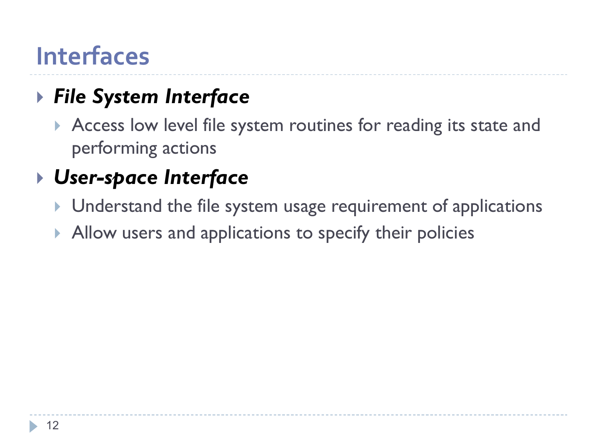#### **Interfaces**

#### *File System Interface*

Access low level file system routines for reading its state and performing actions

#### *User-space Interface*

- Understand the file system usage requirement of applications
- Allow users and applications to specify their policies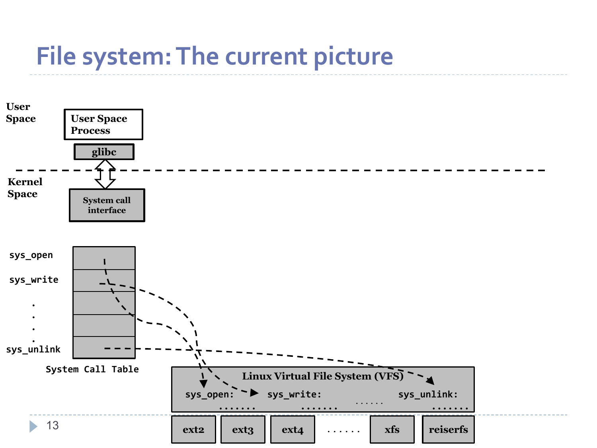## **File system: The current picture**

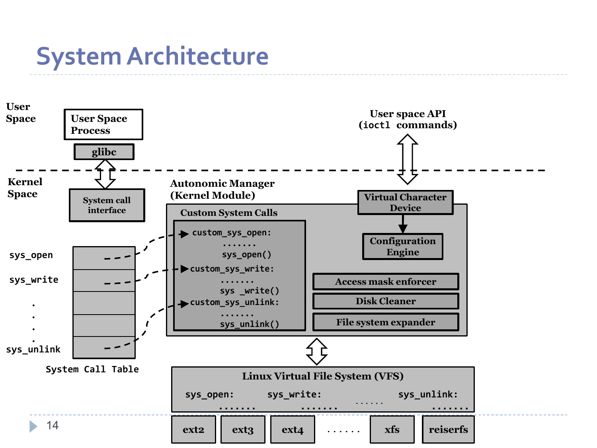#### **System Architecture**

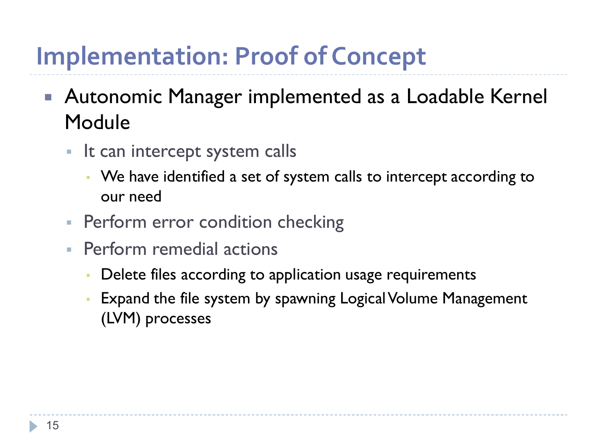# **Implementation: Proof of Concept**

- Autonomic Manager implemented as a Loadable Kernel Module
	- **If can intercept system calls** 
		- We have identified a set of system calls to intercept according to our need
	- **Perform error condition checking**
	- **Perform remedial actions** 
		- Delete files according to application usage requirements
		- Expand the file system by spawning Logical Volume Management (LVM) processes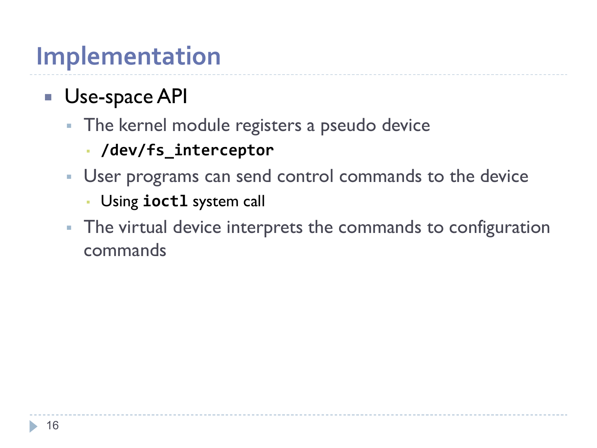## **Implementation**

#### **Use-space API**

- **The kernel module registers a pseudo device** 
	- **/dev/fs\_interceptor**
- User programs can send control commands to the device
	- Using **ioctl** system call
- **The virtual device interprets the commands to configuration** commands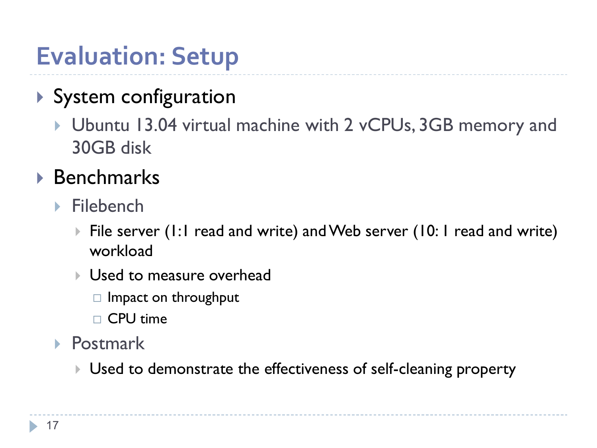# **Evaluation: Setup**

#### System configuration

 Ubuntu 13.04 virtual machine with 2 vCPUs, 3GB memory and 30GB disk

#### ▶ Benchmarks

- $\blacktriangleright$  Filebench
	- ▶ File server (1:1 read and write) and Web server (10:1 read and write) workload
	- **I** Used to measure overhead
		- $\Box$  Impact on throughput
		- $\Box$  CPU time
- ▶ Postmark
	- Used to demonstrate the effectiveness of self-cleaning property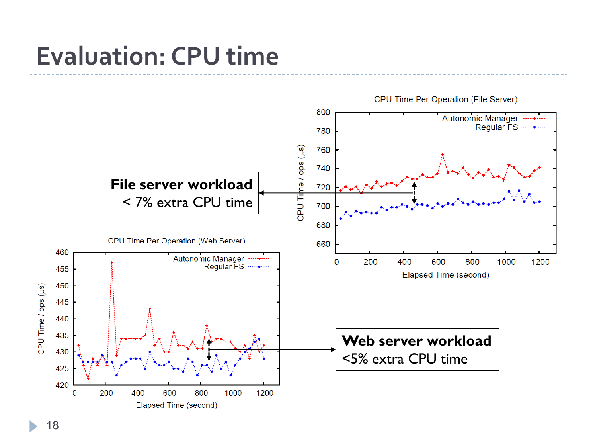### **Evaluation: CPU time**



18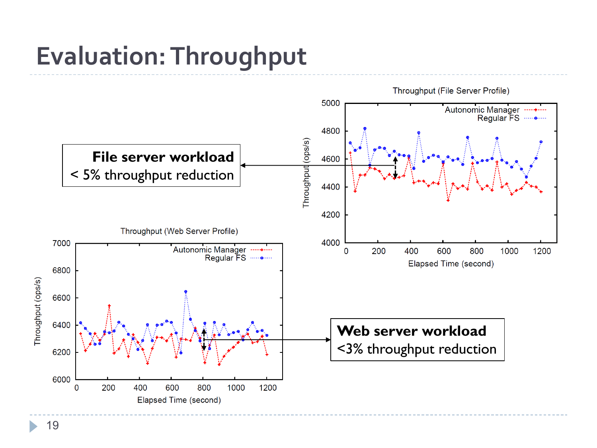# **Evaluation: Throughput**

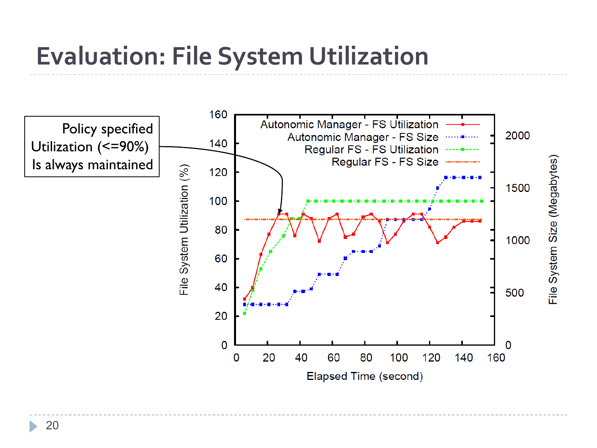# **Evaluation: File System Utilization**

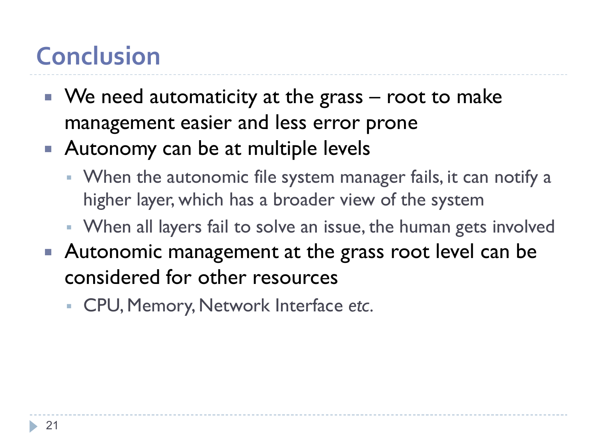# **Conclusion**

- $\blacksquare$  We need automaticity at the grass root to make management easier and less error prone
- Autonomy can be at multiple levels
	- **When the autonomic file system manager fails, it can notify a** higher layer, which has a broader view of the system
	- When all layers fail to solve an issue, the human gets involved
- Autonomic management at the grass root level can be considered for other resources
	- CPU, Memory, Network Interface *etc.*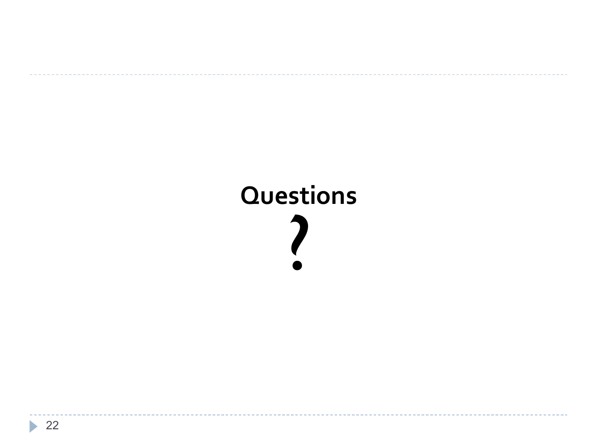# **Questions** ?